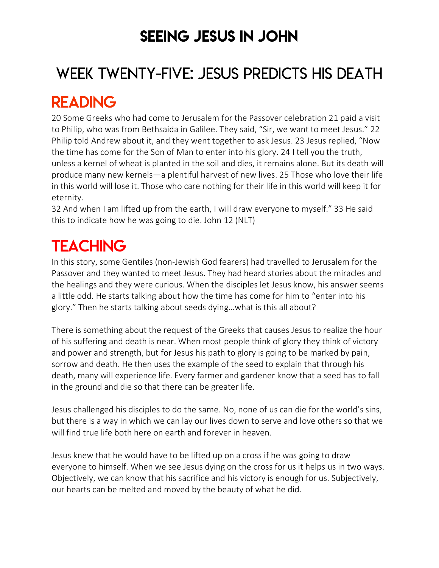### SEEING JESUS IN JOHN

# WEEK TWENTY-FIVE: JESUS PREDICTS HIS DEATH

### READING

20 Some Greeks who had come to Jerusalem for the Passover celebration 21 paid a visit to Philip, who was from Bethsaida in Galilee. They said, "Sir, we want to meet Jesus." 22 Philip told Andrew about it, and they went together to ask Jesus. 23 Jesus replied, "Now the time has come for the Son of Man to enter into his glory. 24 I tell you the truth, unless a kernel of wheat is planted in the soil and dies, it remains alone. But its death will produce many new kernels—a plentiful harvest of new lives. 25 Those who love their life in this world will lose it. Those who care nothing for their life in this world will keep it for eternity.

32 And when I am lifted up from the earth, I will draw everyone to myself." 33 He said this to indicate how he was going to die. John 12 (NLT)

# **TEACHING**

In this story, some Gentiles (non-Jewish God fearers) had travelled to Jerusalem for the Passover and they wanted to meet Jesus. They had heard stories about the miracles and the healings and they were curious. When the disciples let Jesus know, his answer seems a little odd. He starts talking about how the time has come for him to "enter into his glory." Then he starts talking about seeds dying…what is this all about?

There is something about the request of the Greeks that causes Jesus to realize the hour of his suffering and death is near. When most people think of glory they think of victory and power and strength, but for Jesus his path to glory is going to be marked by pain, sorrow and death. He then uses the example of the seed to explain that through his death, many will experience life. Every farmer and gardener know that a seed has to fall in the ground and die so that there can be greater life.

Jesus challenged his disciples to do the same. No, none of us can die for the world's sins, but there is a way in which we can lay our lives down to serve and love others so that we will find true life both here on earth and forever in heaven.

Jesus knew that he would have to be lifted up on a cross if he was going to draw everyone to himself. When we see Jesus dying on the cross for us it helps us in two ways. Objectively, we can know that his sacrifice and his victory is enough for us. Subjectively, our hearts can be melted and moved by the beauty of what he did.